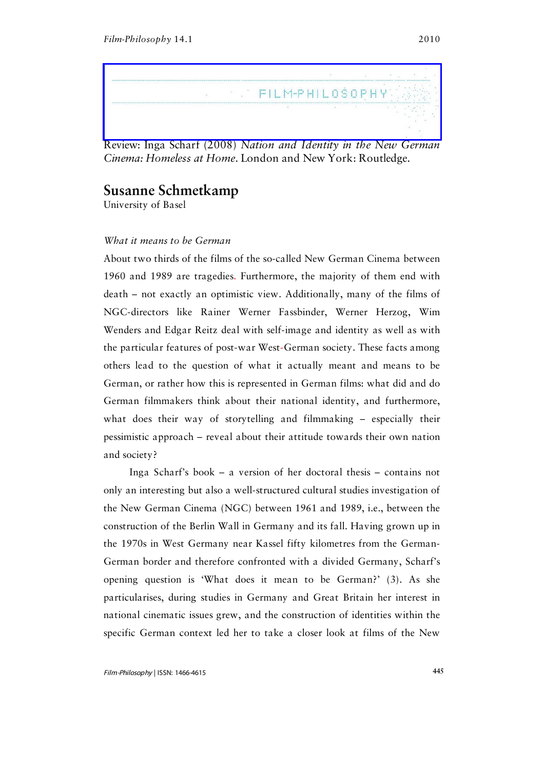

Review: Inga Scharf (2008) *Nation and Identity in the New German Cinema: Homeless at Home*. London and New York: Routledge.

## **Susanne Schmetkamp**

University of Basel

## *What it means to be German*

About two thirds of the films of the so-called New German Cinema between 1960 and 1989 are tragedies. Furthermore, the majority of them end with death – not exactly an optimistic view. Additionally, many of the films of NGC-directors like Rainer Werner Fassbinder, Werner Herzog, Wim Wenders and Edgar Reitz deal with self-image and identity as well as with the particular features of post-war West-German society. These facts among others lead to the question of what it actually meant and means to be German, or rather how this is represented in German films: what did and do German filmmakers think about their national identity, and furthermore, what does their way of storytelling and filmmaking – especially their pessimistic approach – reveal about their attitude towards their own nation and society?

Inga Scharf's book – a version of her doctoral thesis – contains not only an interesting but also a well-structured cultural studies investigation of the New German Cinema (NGC) between 1961 and 1989, i.e., between the construction of the Berlin Wall in Germany and its fall. Having grown up in the 1970s in West Germany near Kassel fifty kilometres from the German-German border and therefore confronted with a divided Germany, Scharf's opening question is 'What does it mean to be German?' (3). As she particularises, during studies in Germany and Great Britain her interest in national cinematic issues grew, and the construction of identities within the specific German context led her to take a closer look at films of the New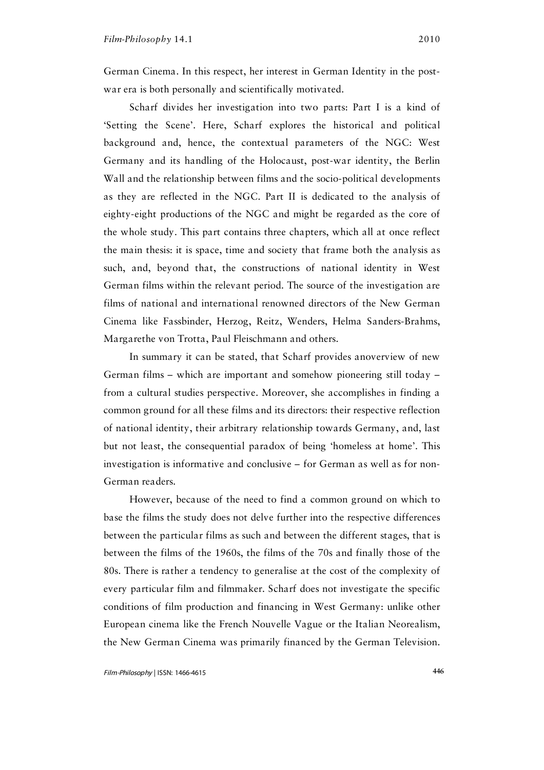German Cinema. In this respect, her interest in German Identity in the postwar era is both personally and scientifically motivated.

Scharf divides her investigation into two parts: Part I is a kind of 'Setting the Scene'. Here, Scharf explores the historical and political background and, hence, the contextual parameters of the NGC: West Germany and its handling of the Holocaust, post-war identity, the Berlin Wall and the relationship between films and the socio-political developments as they are reflected in the NGC. Part II is dedicated to the analysis of eighty-eight productions of the NGC and might be regarded as the core of the whole study. This part contains three chapters, which all at once reflect the main thesis: it is space, time and society that frame both the analysis as such, and, beyond that, the constructions of national identity in West German films within the relevant period. The source of the investigation are films of national and international renowned directors of the New German Cinema like Fassbinder, Herzog, Reitz, Wenders, Helma Sanders-Brahms, Margarethe von Trotta, Paul Fleischmann and others.

In summary it can be stated, that Scharf provides anoverview of new German films – which are important and somehow pioneering still today – from a cultural studies perspective. Moreover, she accomplishes in finding a common ground for all these films and its directors: their respective reflection of national identity, their arbitrary relationship towards Germany, and, last but not least, the consequential paradox of being 'homeless at home'. This investigation is informative and conclusive – for German as well as for non-German readers.

However, because of the need to find a common ground on which to base the films the study does not delve further into the respective differences between the particular films as such and between the different stages, that is between the films of the 1960s, the films of the 70s and finally those of the 80s. There is rather a tendency to generalise at the cost of the complexity of every particular film and filmmaker. Scharf does not investigate the specific conditions of film production and financing in West Germany: unlike other European cinema like the French Nouvelle Vague or the Italian Neorealism, the New German Cinema was primarily financed by the German Television.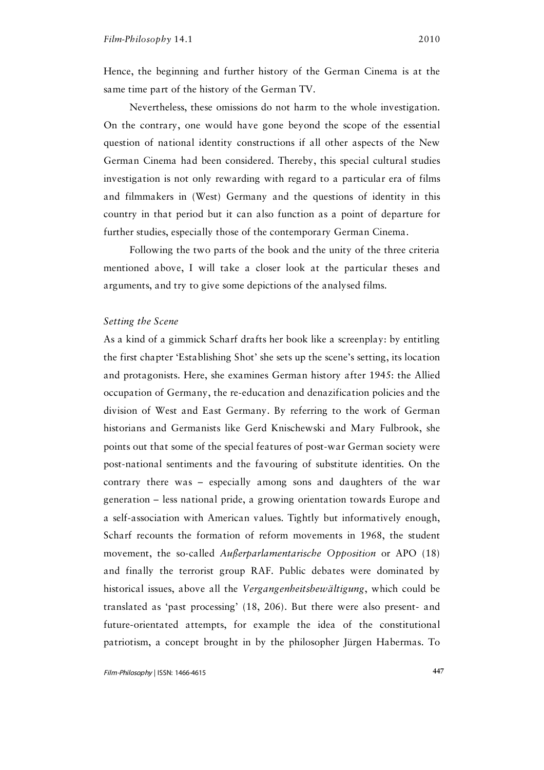Hence, the beginning and further history of the German Cinema is at the same time part of the history of the German TV.

Nevertheless, these omissions do not harm to the whole investigation. On the contrary, one would have gone beyond the scope of the essential question of national identity constructions if all other aspects of the New German Cinema had been considered. Thereby, this special cultural studies investigation is not only rewarding with regard to a particular era of films and filmmakers in (West) Germany and the questions of identity in this country in that period but it can also function as a point of departure for further studies, especially those of the contemporary German Cinema.

Following the two parts of the book and the unity of the three criteria mentioned above, I will take a closer look at the particular theses and arguments, and try to give some depictions of the analysed films.

## *Setting the Scene*

As a kind of a gimmick Scharf drafts her book like a screenplay: by entitling the first chapter 'Establishing Shot' she sets up the scene's setting, its location and protagonists. Here, she examines German history after 1945: the Allied occupation of Germany, the re-education and denazification policies and the division of West and East Germany. By referring to the work of German historians and Germanists like Gerd Knischewski and Mary Fulbrook, she points out that some of the special features of post-war German society were post-national sentiments and the favouring of substitute identities. On the contrary there was – especially among sons and daughters of the war generation – less national pride, a growing orientation towards Europe and a self-association with American values. Tightly but informatively enough, Scharf recounts the formation of reform movements in 1968, the student movement, the so-called *Außerparlamentarische Opposition* or APO (18) and finally the terrorist group RAF. Public debates were dominated by historical issues, above all the *Vergangenheitsbewältigung*, which could be translated as 'past processing' (18, 206). But there were also present- and future-orientated attempts, for example the idea of the constitutional patriotism, a concept brought in by the philosopher Jürgen Habermas. To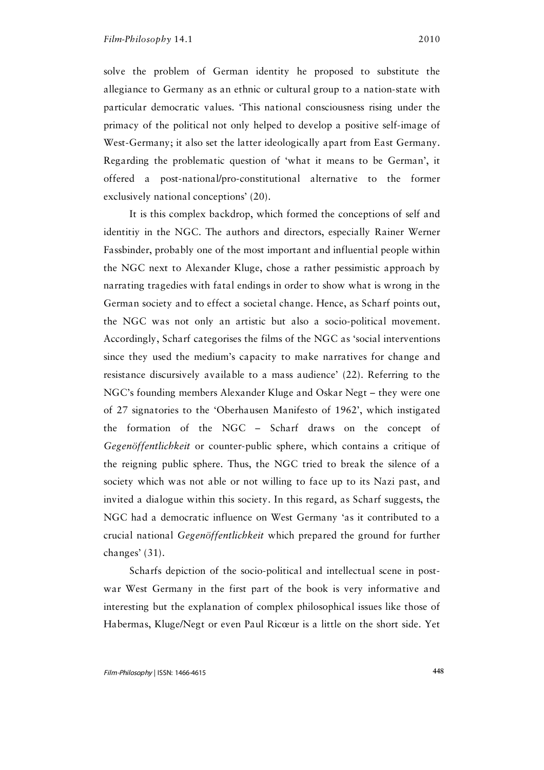solve the problem of German identity he proposed to substitute the allegiance to Germany as an ethnic or cultural group to a nation-state with particular democratic values. 'This national consciousness rising under the primacy of the political not only helped to develop a positive self-image of West-Germany; it also set the latter ideologically apart from East Germany. Regarding the problematic question of 'what it means to be German', it offered a post-national/pro-constitutional alternative to the former exclusively national conceptions' (20).

It is this complex backdrop, which formed the conceptions of self and identitiy in the NGC. The authors and directors, especially Rainer Werner Fassbinder, probably one of the most important and influential people within the NGC next to Alexander Kluge, chose a rather pessimistic approach by narrating tragedies with fatal endings in order to show what is wrong in the German society and to effect a societal change. Hence, as Scharf points out, the NGC was not only an artistic but also a socio-political movement. Accordingly, Scharf categorises the films of the NGC as 'social interventions since they used the medium's capacity to make narratives for change and resistance discursively available to a mass audience' (22). Referring to the NGC's founding members Alexander Kluge and Oskar Negt – they were one of 27 signatories to the 'Oberhausen Manifesto of 1962', which instigated the formation of the NGC – Scharf draws on the concept of *Gegenöffentlichkeit* or counter-public sphere, which contains a critique of the reigning public sphere. Thus, the NGC tried to break the silence of a society which was not able or not willing to face up to its Nazi past, and invited a dialogue within this society. In this regard, as Scharf suggests, the NGC had a democratic influence on West Germany 'as it contributed to a crucial national *Gegenöffentlichkeit* which prepared the ground for further changes' (31).

Scharfs depiction of the socio-political and intellectual scene in postwar West Germany in the first part of the book is very informative and interesting but the explanation of complex philosophical issues like those of Habermas, Kluge/Negt or even Paul Ricœur is a little on the short side. Yet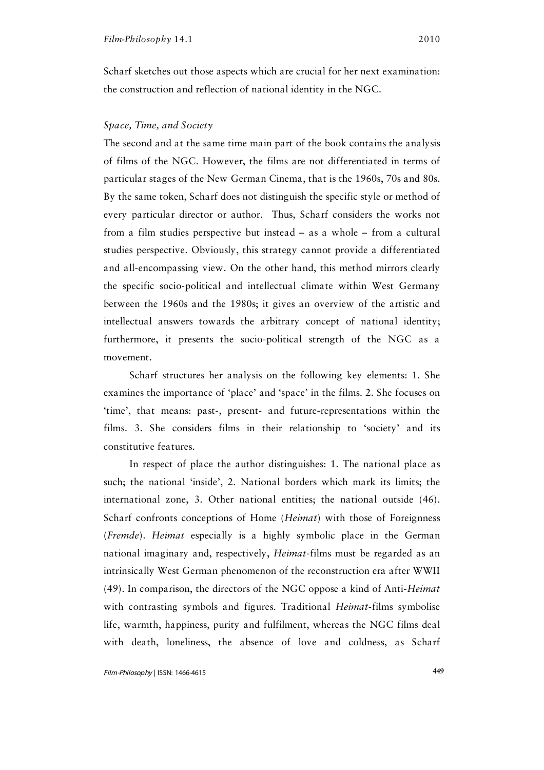Scharf sketches out those aspects which are crucial for her next examination: the construction and reflection of national identity in the NGC.

## *Space, Time, and Society*

The second and at the same time main part of the book contains the analysis of films of the NGC. However, the films are not differentiated in terms of particular stages of the New German Cinema, that is the 1960s, 70s and 80s. By the same token, Scharf does not distinguish the specific style or method of every particular director or author. Thus, Scharf considers the works not from a film studies perspective but instead – as a whole – from a cultural studies perspective. Obviously, this strategy cannot provide a differentiated and all-encompassing view. On the other hand, this method mirrors clearly the specific socio-political and intellectual climate within West Germany between the 1960s and the 1980s; it gives an overview of the artistic and intellectual answers towards the arbitrary concept of national identity; furthermore, it presents the socio-political strength of the NGC as a movement.

Scharf structures her analysis on the following key elements: 1. She examines the importance of 'place' and 'space' in the films. 2. She focuses on 'time', that means: past-, present- and future-representations within the films. 3. She considers films in their relationship to 'society' and its constitutive features.

In respect of place the author distinguishes: 1. The national place as such; the national 'inside', 2. National borders which mark its limits; the international zone, 3. Other national entities; the national outside (46). Scharf confronts conceptions of Home (*Heimat*) with those of Foreignness (*Fremde*). *Heimat* especially is a highly symbolic place in the German national imaginary and, respectively, *Heimat*-films must be regarded as an intrinsically West German phenomenon of the reconstruction era after WWII (49). In comparison, the directors of the NGC oppose a kind of Anti-*Heimat* with contrasting symbols and figures. Traditional *Heimat*-films symbolise life, warmth, happiness, purity and fulfilment, whereas the NGC films deal with death, loneliness, the absence of love and coldness, as Scharf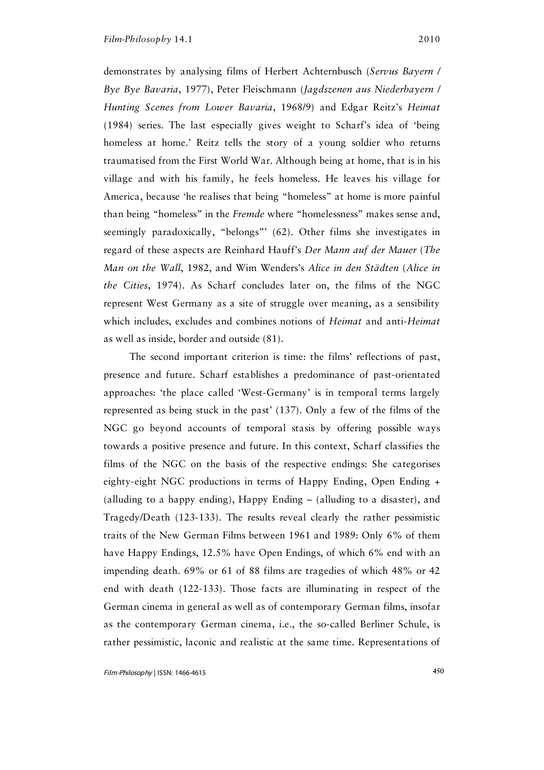demonstrates by analysing films of Herbert Achternbusch (*Servus Bayern / Bye Bye Bavaria*, 1977), Peter Fleischmann (*Jagdszenen aus Niederbayern / Hunting Scenes from Lower Bavaria*, 1968/9) and Edgar Reitz's *Heimat* (1984) series. The last especially gives weight to Scharf's idea of 'being homeless at home.' Reitz tells the story of a young soldier who returns traumatised from the First World War. Although being at home, that is in his village and with his family, he feels homeless. He leaves his village for America, because 'he realises that being "homeless" at home is more painful than being "homeless" in the *Fremde* where "homelessness" makes sense and, seemingly paradoxically, "belongs"' (62). Other films she investigates in regard of these aspects are Reinhard Hauff's *Der Mann auf der Mauer* (*The Man on the Wall*, 1982, and Wim Wenders's *Alice in den Städten* (*Alice in the Cities*, 1974). As Scharf concludes later on, the films of the NGC represent West Germany as a site of struggle over meaning, as a sensibility which includes, excludes and combines notions of *Heimat* and anti-*Heimat* as well as inside, border and outside (81).

The second important criterion is time: the films' reflections of past, presence and future. Scharf establishes a predominance of past-orientated approaches: 'the place called 'West-Germany' is in temporal terms largely represented as being stuck in the past' (137). Only a few of the films of the NGC go beyond accounts of temporal stasis by offering possible ways towards a positive presence and future. In this context, Scharf classifies the films of the NGC on the basis of the respective endings: She categorises eighty-eight NGC productions in terms of Happy Ending, Open Ending + (alluding to a happy ending), Happy Ending – (alluding to a disaster), and Tragedy/Death (123-133). The results reveal clearly the rather pessimistic traits of the New German Films between 1961 and 1989: Only 6% of them have Happy Endings, 12.5% have Open Endings, of which 6% end with an impending death. 69% or 61 of 88 films are tragedies of which 48% or 42 end with death (122-133). Those facts are illuminating in respect of the German cinema in general as well as of contemporary German films, insofar as the contemporary German cinema, i.e., the so-called Berliner Schule, is rather pessimistic, laconic and realistic at the same time. Representations of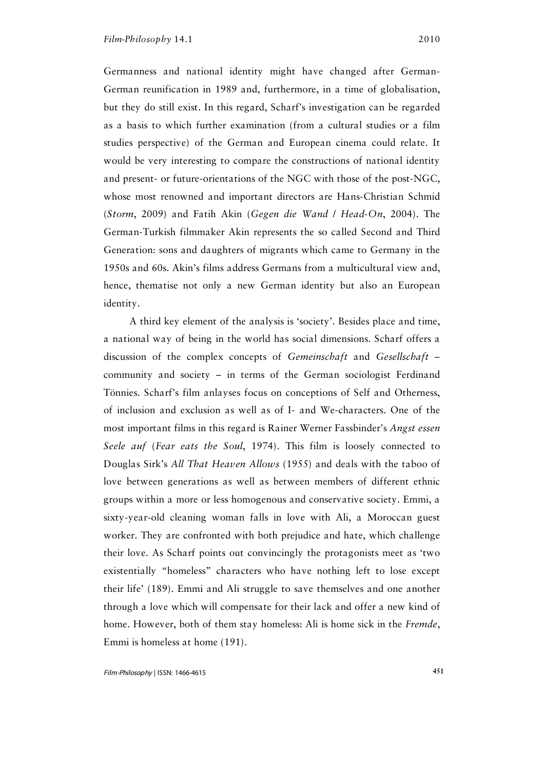Germanness and national identity might have changed after German-German reunification in 1989 and, furthermore, in a time of globalisation, but they do still exist. In this regard, Scharf's investigation can be regarded as a basis to which further examination (from a cultural studies or a film studies perspective) of the German and European cinema could relate. It would be very interesting to compare the constructions of national identity and present- or future-orientations of the NGC with those of the post-NGC, whose most renowned and important directors are Hans-Christian Schmid (*Storm*, 2009) and Fatih Akin (*Gegen die Wand* / *Head-On*, 2004). The German-Turkish filmmaker Akin represents the so called Second and Third Generation: sons and daughters of migrants which came to Germany in the 1950s and 60s. Akin's films address Germans from a multicultural view and, hence, thematise not only a new German identity but also an European identity.

A third key element of the analysis is 'society'. Besides place and time, a national way of being in the world has social dimensions. Scharf offers a discussion of the complex concepts of *Gemeinschaft* and *Gesellschaft* – community and society – in terms of the German sociologist Ferdinand Tönnies. Scharf's film anlayses focus on conceptions of Self and Otherness, of inclusion and exclusion as well as of I- and We-characters. One of the most important films in this regard is Rainer Werner Fassbinder's *Angst essen Seele auf* (*Fear eats the Soul*, 1974). This film is loosely connected to Douglas Sirk's *All That Heaven Allows* (1955) and deals with the taboo of love between generations as well as between members of different ethnic groups within a more or less homogenous and conservative society. Emmi, a sixty-year-old cleaning woman falls in love with Ali, a Moroccan guest worker. They are confronted with both prejudice and hate, which challenge their love. As Scharf points out convincingly the protagonists meet as 'two existentially "homeless" characters who have nothing left to lose except their life' (189). Emmi and Ali struggle to save themselves and one another through a love which will compensate for their lack and offer a new kind of home. However, both of them stay homeless: Ali is home sick in the *Fremde*, Emmi is homeless at home (191).